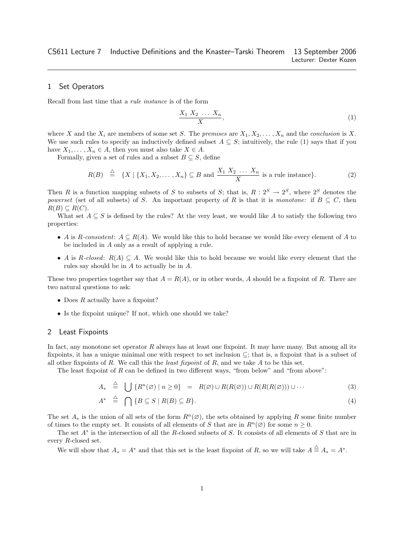# 1 Set Operators

Recall from last time that a rule instance is of the form

$$
\frac{X_1 X_2 \dots X_n}{X},\tag{1}
$$

where X and the  $X_i$  are members of some set S. The premises are  $X_1, X_2, \ldots, X_n$  and the conclusion is X. We use such rules to specify an inductively defined subset  $A \subseteq S$ ; intuitively, the rule (1) says that if you have  $X_1, \ldots, X_n \in A$ , then you must also take  $X \in A$ .

Formally, given a set of rules and a subset  $B \subseteq S$ , define

$$
R(B) \stackrel{\triangle}{=} \{X \mid \{X_1, X_2, \dots, X_n\} \subseteq B \text{ and } \frac{X_1 \ X_2 \ \dots \ X_n}{X} \text{ is a rule instance}\}. \tag{2}
$$

Then R is a function mapping subsets of S to subsets of S; that is,  $R: 2^S \rightarrow 2^S$ , where  $2^S$  denotes the powerset (set of all subsets) of S. An important property of R is that it is monotone: if  $B \subseteq C$ , then  $R(B) \subseteq R(C).$ 

What set  $A \subseteq S$  is defined by the rules? At the very least, we would like A to satisfy the following two properties:

- A is R-consistent:  $A \subseteq R(A)$ . We would like this to hold because we would like every element of A to be included in A only as a result of applying a rule.
- A is R-closed:  $R(A) \subseteq A$ . We would like this to hold because we would like every element that the rules say should be in A to actually be in A.

These two properties together say that  $A = R(A)$ , or in other words, A should be a fixpoint of R. There are two natural questions to ask:

- Does  $R$  actually have a fixpoint?
- Is the fixpoint unique? If not, which one should we take?

## 2 Least Fixpoints

In fact, any monotone set operator  $R$  always has at least one fixpoint. It may have many. But among all its fixpoints, it has a unique minimal one with respect to set inclusion  $\subseteq$ ; that is, a fixpoint that is a subset of all other fixpoints of R. We call this the *least fixpoint* of R, and we take A to be this set.

The least fixpoint of  $R$  can be defined in two different ways, "from below" and "from above":

$$
A_* \stackrel{\triangle}{=} \bigcup \{ R^n(\varnothing) \mid n \ge 0 \} = R(\varnothing) \cup R(R(\varnothing)) \cup R(R(R(\varnothing))) \cup \cdots \tag{3}
$$

$$
A^* \stackrel{\triangle}{=} \bigcap \{ B \subseteq S \mid R(B) \subseteq B \}. \tag{4}
$$

The set  $A_*$  is the union of all sets of the form  $R^n(\emptyset)$ , the sets obtained by applying R some finite number of times to the empty set. It consists of all elements of S that are in  $R<sup>n</sup>(\varnothing)$  for some  $n \geq 0$ .

The set  $A^*$  is the intersection of all the R-closed subsets of S. It consists of all elements of S that are in every R-closed set.

We will show that  $A_* = A^*$  and that this set is the least fixpoint of R, so we will take  $A \stackrel{\triangle}{=} A_* = A^*$ .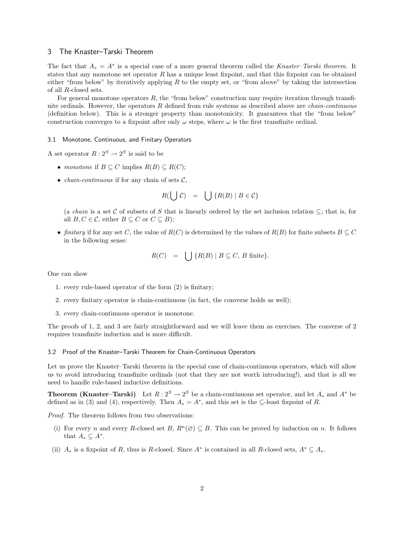## 3 The Knaster–Tarski Theorem

The fact that  $A_* = A^*$  is a special case of a more general theorem called the Knaster–Tarski theorem. It states that any monotone set operator  $R$  has a unique least fixpoint, and that this fixpoint can be obtained either "from below" by iteratively applying  $R$  to the empty set, or "from above" by taking the intersection of all R-closed sets.

For general monotone operators  $R$ , the "from below" construction may require iteration through transfinite ordinals. However, the operators  $R$  defined from rule systems as described above are *chain-continuous* (definition below). This is a stronger property than monotonicity. It guarantees that the "from below" construction converges to a fixpoint after only  $\omega$  steps, where  $\omega$  is the first transfinite ordinal.

#### 3.1 Monotone, Continuous, and Finitary Operators

A set operator  $R: 2^S \to 2^S$  is said to be

- monotone if  $B \subseteq C$  implies  $R(B) \subseteq R(C)$ ;
- *chain-continuous* if for any chain of sets  $C$ ,

$$
R(\bigcup \mathcal{C}) = \bigcup \{ R(B) \mid B \in \mathcal{C} \}
$$

(a chain is a set C of subsets of S that is linearly ordered by the set inclusion relation  $\subseteq$ ; that is, for all  $B, C \in \mathcal{C}$ , either  $B \subseteq C$  or  $C \subseteq B$ );

• finitary if for any set C, the value of  $R(C)$  is determined by the values of  $R(B)$  for finite subsets  $B \subseteq C$ in the following sense:

$$
R(C) = \bigcup \{ R(B) \mid B \subseteq C, B \text{ finite} \}.
$$

One can show

- 1. every rule-based operator of the form (2) is finitary;
- 2. every finitary operator is chain-continuous (in fact, the converse holds as well);
- 3. every chain-continuous operator is monotone.

The proofs of 1, 2, and 3 are fairly straightforward and we will leave them as exercises. The converse of 2 requires transfinite induction and is more difficult.

### 3.2 Proof of the Knaster–Tarski Theorem for Chain-Continuous Operators

Let us prove the Knaster–Tarski theorem in the special case of chain-continuous operators, which will allow us to avoid introducing transfinite ordinals (not that they are not worth introducing!), and that is all we need to handle rule-based inductive definitions.

**Theorem (Knaster–Tarski)** Let  $R: 2^S \to 2^S$  be a chain-continuous set operator, and let  $A_*$  and  $A^*$  be defined as in (3) and (4), respectively. Then  $A_* = A^*$ , and this set is the  $\subseteq$ -least fixpoint of R.

Proof. The theorem follows from two observations:

- (i) For every n and every R-closed set B,  $R<sup>n</sup>(\emptyset) \subseteq B$ . This can be proved by induction on n. It follows that  $A_* \subseteq A^*$ .
- (ii)  $A_*$  is a fixpoint of R, thus is R-closed. Since  $A^*$  is contained in all R-closed sets,  $A^* \subseteq A_*$ .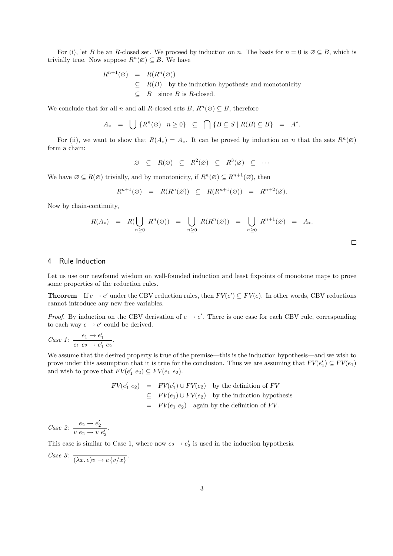For (i), let B be an R-closed set. We proceed by induction on n. The basis for  $n = 0$  is  $\emptyset \subseteq B$ , which is trivially true. Now suppose  $R^n(\emptyset) \subseteq B$ . We have

$$
R^{n+1}(\varnothing) = R(R^n(\varnothing))
$$
  
\n
$$
\subseteq R(B) \text{ by the induction hypothesis and monotonicity}
$$
  
\n
$$
\subseteq B \text{ since } B \text{ is } R\text{-closed.}
$$

We conclude that for all n and all R-closed sets B,  $R^n(\emptyset) \subseteq B$ , therefore

$$
A_* = \bigcup \{ R^n(\varnothing) \mid n \ge 0 \} \subseteq \bigcap \{ B \subseteq S \mid R(B) \subseteq B \} = A^*.
$$

For (ii), we want to show that  $R(A_*) = A_*$ . It can be proved by induction on n that the sets  $R^n(\emptyset)$ form a chain:

$$
\varnothing \subseteq R(\varnothing) \subseteq R^2(\varnothing) \subseteq R^3(\varnothing) \subseteq \cdots
$$

We have  $\emptyset \subseteq R(\emptyset)$  trivially, and by monotonicity, if  $R^n(\emptyset) \subseteq R^{n+1}(\emptyset)$ , then

$$
R^{n+1}(\varnothing) = R(R^n(\varnothing)) \subseteq R(R^{n+1}(\varnothing)) = R^{n+2}(\varnothing).
$$

Now by chain-continuity,

$$
R(A_*) = R(\bigcup_{n\geq 0} R^n(\emptyset)) = \bigcup_{n\geq 0} R(R^n(\emptyset)) = \bigcup_{n\geq 0} R^{n+1}(\emptyset) = A_*.
$$

 $\Box$ 

## 4 Rule Induction

Let us use our newfound wisdom on well-founded induction and least fixpoints of monotone maps to prove some properties of the reduction rules.

**Theorem** If  $e \to e'$  under the CBV reduction rules, then  $FV(e') \subseteq FV(e)$ . In other words, CBV reductions cannot introduce any new free variables.

*Proof.* By induction on the CBV derivation of  $e \rightarrow e'$ . There is one case for each CBV rule, corresponding to each way  $e \rightarrow e'$  could be derived.

Case 1: 
$$
\frac{e_1 \to e'_1}{e_1 \ e_2 \to e'_1 \ e_2}
$$
.

We assume that the desired property is true of the premise—this is the induction hypothesis—and we wish to prove under this assumption that it is true for the conclusion. Thus we are assuming that  $FV(e'_1) \subseteq FV(e_1)$ and wish to prove that  $FV(e'_1 \ e_2) \subseteq FV(e_1 \ e_2)$ .

$$
FV(e'_1 \ e_2) = FV(e'_1) \cup FV(e_2) \text{ by the definition of } FV
$$
  
\n
$$
\subseteq FV(e_1) \cup FV(e_2) \text{ by the induction hypothesis}
$$
  
\n
$$
= FV(e_1 \ e_2) \text{ again by the definition of } FV.
$$

Case 2:  $\frac{e_2 \rightarrow e'_2}{v e_2 \rightarrow v e'_2}$ .

This case is similar to Case 1, where now  $e_2 \rightarrow e'_2$  is used in the induction hypothesis.

Case 3:  $\overline{(\lambda x. e)v \rightarrow e\{v/x\}}$ .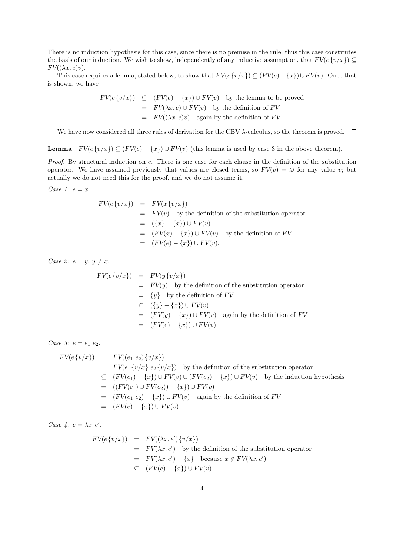There is no induction hypothesis for this case, since there is no premise in the rule; thus this case constitutes the basis of our induction. We wish to show, independently of any inductive assumption, that  $FV(e\{v/x\}) \subseteq$  $FV((\lambda x.\,e)v).$ 

This case requires a lemma, stated below, to show that  $FV(e\{v/x\}) \subseteq (FV(e) - \{x\}) \cup FV(v)$ . Once that is shown, we have

$$
FV(e\{v/x\}) \subseteq (FV(e) - \{x\}) \cup FV(v) \text{ by the lemma to be proved}
$$

$$
= FV(\lambda x. e) \cup FV(v) \text{ by the definition of } FV
$$

$$
= FV((\lambda x. e)v) \text{ again by the definition of } FV.
$$

We have now considered all three rules of derivation for the CBV  $\lambda$ -calculus, so the theorem is proved.  $\Box$ 

**Lemma**  $FV(e \{v/x\}) \subseteq (FV(e) - \{x\}) \cup FV(v)$  (this lemma is used by case 3 in the above theorem).

Proof. By structural induction on e. There is one case for each clause in the definition of the substitution operator. We have assumed previously that values are closed terms, so  $FV(v) = \emptyset$  for any value v; but actually we do not need this for the proof, and we do not assume it.

Case 1:  $e = x$ .

$$
FV(e\{v/x\}) = FV(x\{v/x\})
$$
  
=  $FV(v)$  by the definition of the substitution operator  
=  $(\{x\} - \{x\}) \cup FV(v)$   
=  $(FV(x) - \{x\}) \cup FV(v)$  by the definition of  $FV$   
=  $(FV(e) - \{x\}) \cup FV(v)$ .

Case 2:  $e = y, y \neq x$ .

$$
FV(e\{v/x\}) = FV(y\{v/x\})
$$
  
=  $FV(y)$  by the definition of the substitution operator  
=  $\{y\}$  by the definition of  $FV$   
 $\subseteq (\{y\} - \{x\}) \cup FV(v)$   
=  $(FV(y) - \{x\}) \cup FV(v)$  again by the definition of  $FV$   
=  $(FV(e) - \{x\}) \cup FV(v)$ .

Case 3:  $e = e_1 e_2$ .

$$
FV(e\{v/x\}) = FV((e_1 e_2)\{v/x\})
$$
  
=  $FV(e_1 \{v/x\} e_2 \{v/x\})$  by the definition of the substitution operator  

$$
\subseteq (FV(e_1) - \{x\}) \cup FV(v) \cup (FV(e_2) - \{x\}) \cup FV(v)
$$
 by the induction hypothesis  
= 
$$
((FV(e_1) \cup FV(e_2)) - \{x\}) \cup FV(v)
$$
  
= 
$$
(FV(e_1 e_2) - \{x\}) \cup FV(v)
$$
 again by the definition of  $FV$   
= 
$$
(FV(e) - \{x\}) \cup FV(v).
$$

Case  $\lambda : e = \lambda x. e'.$ 

$$
FV(e\{v/x\}) = FV((\lambda x. e')\{v/x\})
$$
  
=  $FV(\lambda x. e')$  by the definition of the substitution operator  
=  $FV(\lambda x. e') - \{x\}$  because  $x \notin FV(\lambda x. e')$   
 $\subseteq$   $(FV(e) - \{x\}) \cup FV(v).$